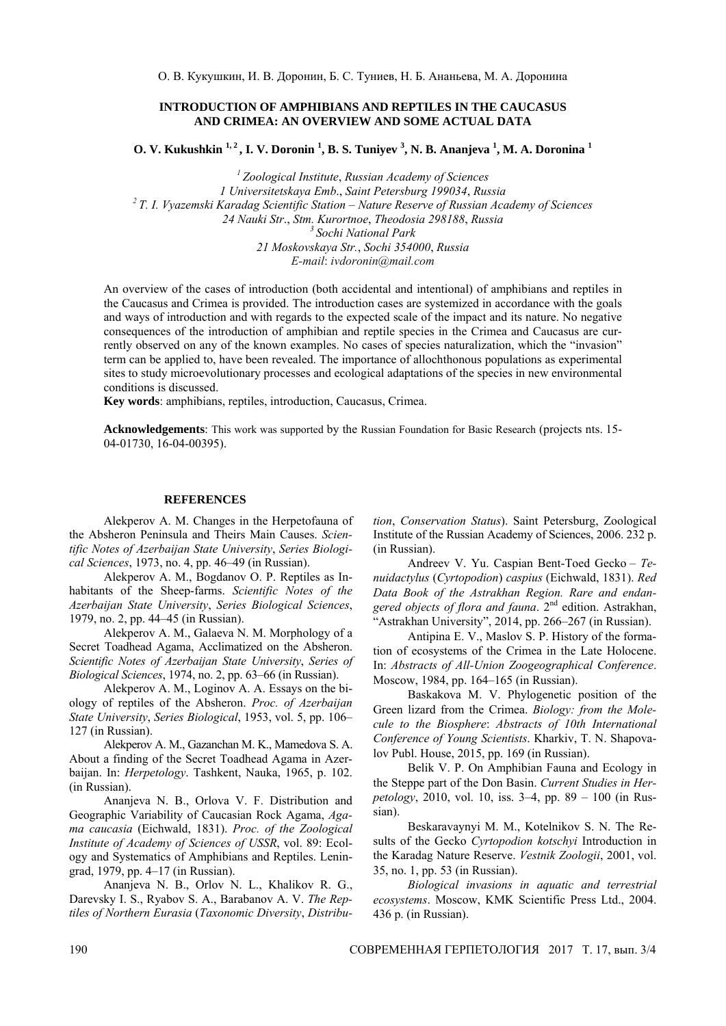## **INTRODUCTION OF AMPHIBIANS AND REPTILES IN THE CAUCASUS AND CRIMEA: AN OVERVIEW AND SOME ACTUAL DATA**

**O. V. Kukushkin 1, 2 , I. V. Doronin 1 , B. S. Tuniyev <sup>3</sup> , N. B. Ananjeva 1 , M. A. Doronina <sup>1</sup>**

*<sup>1</sup> Zoological Institute*, *Russian Academy of Sciences 1 Universitetskaya Emb*., *Saint Petersburg 199034*, *Russia <sup>2</sup> T. I. Vyazemski Karadag Scientific Station – Nature Reserve of Russian Academy of Sciences 24 Nauki Str*., *Stm. Kurortnoe*, *Theodosia 298188*, *Russia <sup>3</sup> Sochi National Park 21 Moskovskaya Str.*, *Sochi 354000*, *Russia E-mail*: *ivdoronin*@*mail.com* 

An overview of the cases of introduction (both accidental and intentional) of amphibians and reptiles in the Caucasus and Crimea is provided. The introduction cases are systemized in accordance with the goals and ways of introduction and with regards to the expected scale of the impact and its nature. No negative consequences of the introduction of amphibian and reptile species in the Crimea and Caucasus are currently observed on any of the known examples. No cases of species naturalization, which the "invasion" term can be applied to, have been revealed. The importance of allochthonous populations as experimental sites to study microevolutionary processes and ecological adaptations of the species in new environmental conditions is discussed.

**Key words**: amphibians, reptiles, introduction, Caucasus, Crimea.

**Acknowledgements**: This work was supported by the Russian Foundation for Basic Research (projects nts. 15- 04-01730, 16-04-00395).

## **REFERENCES**

Alekperov A. M. Changes in the Herpetofauna of the Absheron Peninsula and Theirs Main Causes. *Scientific Notes of Azerbaijan State University*, *Series Biological Sciences*, 1973, no. 4, pp. 46–49 (in Russian).

Alekperov A. M., Bogdanov O. P. Reptiles as Inhabitants of the Sheep-farms. *Scientific Notes of the Azerbaijan State University*, *Series Biological Sciences*, 1979, no. 2, pp. 44–45 (in Russian).

Alekperov A. M., Galaeva N. M. Morphology of a Secret Toadhead Agama, Acclimatized on the Absheron. *Scientific Notes of Azerbaijan State University*, *Series of Biological Sciences*, 1974, no. 2, pp. 63–66 (in Russian).

Alekperov A. M., Loginov А. А. Essays on the biology of reptiles of the Absheron. *Proc. of Azerbaijan State University*, *Series Biological*, 1953, vol. 5, pp. 106– 127 (in Russian).

Alekperov A. M., Gazanchan M. K., Mamedova S. A. About a finding of the Secret Toadhead Agama in Azerbaijan. In: *Herpetology*. Tashkent, Nauka, 1965, p. 102. (in Russian).

Ananjeva N. B., Orlova V. F. Distribution and Geographic Variability of Caucasian Rock Agama, *Agama caucasia* (Eichwald, 1831). *Proc. of the Zoological Institute of Academy of Sciences of USSR*, vol. 89: Ecology and Systematics of Amphibians and Reptiles. Leningrad, 1979, pp. 4–17 (in Russian).

Ananjeva N. B., Orlov N. L., Khalikov R. G., Darevsky I. S., Ryabov S. A., Barabanov A. V. *The Reptiles of Northern Eurasia* (*Taxonomic Diversity*, *Distribu-* *tion*, *Conservation Status*). Saint Petersburg, Zoological Institute of the Russian Academy of Sciences, 2006. 232 p. (in Russian).

Andreev V. Yu. Caspian Bent-Toed Gecko – *Tenuidactylus* (*Cyrtopodion*) *caspius* (Eichwald, 1831). *Red Data Book of the Astrakhan Region. Rare and endangered objects of flora and fauna*. 2nd edition. Astrakhan, "Astrakhan University", 2014, pp. 266–267 (in Russian).

Antipina E. V., Maslov S. P. History of the formation of ecosystems of the Crimea in the Late Holocene. In: *Abstracts of All-Union Zoogeographical Conference*. Moscow, 1984, pp. 164–165 (in Russian).

Baskakova M. V. Phylogenetic position of the Green lizard from the Crimea. *Biology: from the Molecule to the Biosphere*: *Abstracts of 10th International Conference of Young Scientists*. Kharkiv, T. N. Shapovalov Publ. House, 2015, pp. 169 (in Russian).

Belik V. P. On Amphibian Fauna and Ecology in the Steppe part of the Don Basin. *Current Studies in Herpetology*, 2010, vol. 10, iss. 3–4, pp. 89 – 100 (in Russian).

Beskaravaynyi M. M., Kotelnikov S. N. The Results of the Gecko *Cyrtopodion kotschyi* Introduction in the Karadag Nature Reserve. *Vestnik Zoologii*, 2001, vol. 35, no. 1, pp. 53 (in Russian).

*Biological invasions in aquatic and terrestrial ecosystems*. Moscow, KMK Scientific Press Ltd., 2004. 436 p. (in Russian).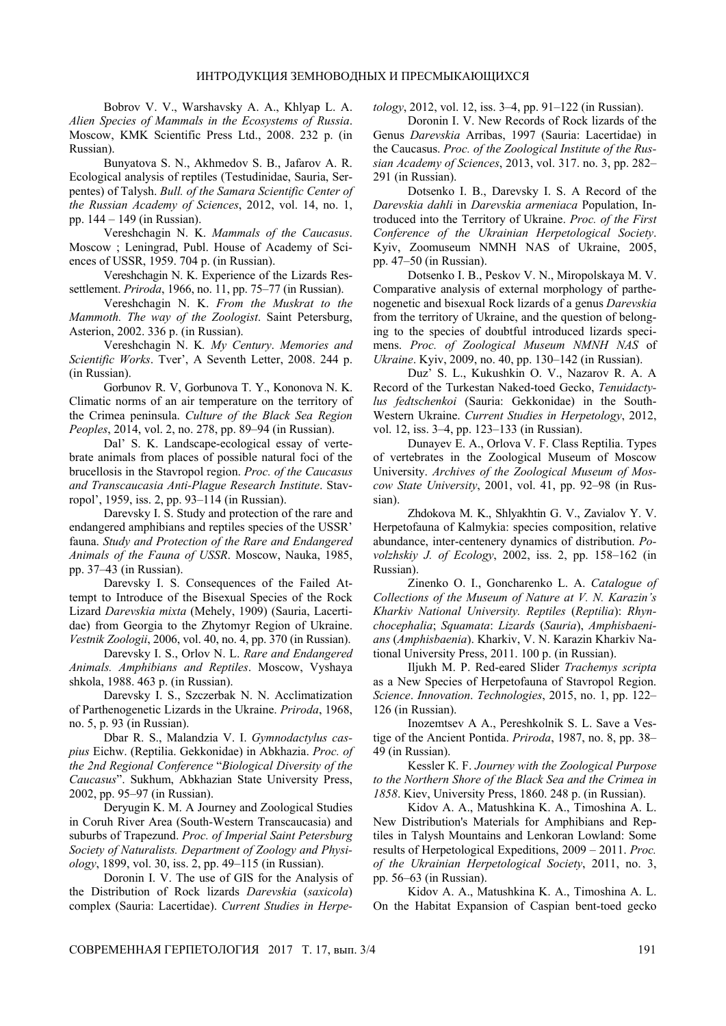Bobrov V. V., Warshavsky A. A., Khlyap L. A. *Alien Species of Mammals in the Ecosystems of Russia*. Moscow, KMK Scientific Press Ltd., 2008. 232 p. (in Russian).

Bunyatova S. N., Akhmedov S. B., Jafarov A. R. Ecological analysis of reptiles (Testudinidae, Sauria, Serpentes) of Talysh. *Bull. of the Samara Scientific Center of the Russian Academy of Sciences*, 2012, vol. 14, no. 1, pp. 144 – 149 (in Russian).

Vereshchagin N. K. *Mammals of the Caucasus*. Moscow ; Leningrad, Publ. House of Academy of Sciences of USSR, 1959. 704 p. (in Russian).

Vereshchagin N. K. Experience of the Lizards Ressettlement. *Priroda*, 1966, no. 11, pp. 75–77 (in Russian).

Vereshchagin N. K. *From the Muskrat to the Mammoth. The way of the Zoologist*. Saint Petersburg, Asterion, 2002. 336 p. (in Russian).

Vereshchagin N. K*. My Century*. *Memories and Scientific Works*. Tver', A Seventh Letter, 2008. 244 p. (in Russian).

Gorbunov R. V, Gorbunova T. Y., Kononova N. K. Climatic norms of an air temperature on the territory of the Crimea peninsula. *Culture of the Black Sea Region Peoples*, 2014, vol. 2, no. 278, pp. 89–94 (in Russian).

Dal' S. K. Landscape-ecological essay of vertebrate animals from places of possible natural foci of the brucellosis in the Stavropol region. *Proc. of the Caucasus and Transcaucasia Anti-Plague Research Institute*. Stavropol', 1959, iss. 2, pp. 93–114 (in Russian).

Darevsky I. S. Study and protection of the rare and endangered amphibians and reptiles species of the USSR' fauna. *Study and Protection of the Rare and Endangered Animals of the Fauna of USSR*. Moscow, Nauka, 1985, pp. 37–43 (in Russian).

Darevsky I. S. Consequences of the Failed Attempt to Introduce of the Bisexual Species of the Rock Lizard *Darevskia mixta* (Mehely, 1909) (Sauria, Lacertidae) from Georgia to the Zhytomyr Region of Ukraine. *Vestnik Zoologii*, 2006, vol. 40, no. 4, pp. 370 (in Russian).

Darevsky I. S., Orlov N. L. *Rare and Endangered Animals. Amphibians and Reptiles*. Moscow, Vyshaya shkola, 1988. 463 p. (in Russian).

Darevsky I. S., Szczerbak N. N. Acclimatization of Parthenogenetic Lizards in the Ukraine. *Priroda*, 1968, no. 5, p. 93 (in Russian).

Dbar R. S., Malandzia V. I. *Gymnodactylus caspius* Eichw. (Reptilia. Gekkonidae) in Abkhazia. *Proc. of the 2nd Regional Conference* "*Biological Diversity of the Caucasus*". Sukhum, Abkhazian State University Press, 2002, pp. 95–97 (in Russian).

Deryugin K. M. A Journey and Zoological Studies in Coruh River Area (South-Western Transcaucasia) and suburbs of Trapezund. *Proc. of Imperial Saint Petersburg Society of Naturalists. Department of Zoology and Physiology*, 1899, vol. 30, iss. 2, pp. 49–115 (in Russian).

Doronin I. V. The use of GIS for the Analysis of the Distribution of Rock lizards *Darevskia* (*saxicola*) complex (Sauria: Lacertidae). *Current Studies in Herpe-* *tology*, 2012, vol. 12, iss. 3–4, pp. 91–122 (in Russian).

Doronin I. V. New Records of Rock lizards of the Genus *Darevskia* Arribas, 1997 (Sauria: Lacertidae) in the Caucasus. *Proc. of the Zoological Institute of the Russian Academy of Sciences*, 2013, vol. 317. no. 3, pp. 282– 291 (in Russian).

Dotsenko I. B., Darevsky I. S. A Record of the *Darevskia dahli* in *Darevskia armeniaca* Population, Introduced into the Territory of Ukraine. *Proc. of the First Conference of the Ukrainian Herpetological Society*. Kyiv, Zoomuseum NMNH NAS of Ukraine, 2005, pp. 47–50 (in Russian).

Dotsenko I. B., Peskov V. N., Miropolskaya M. V. Comparative analysis of external morphology of parthenogenetic and bisexual Rock lizards of a genus *Darevskia* from the territory of Ukraine, and the question of belonging to the species of doubtful introduced lizards specimens. *Proc. of Zoological Museum NMNH NAS* of *Ukraine*. Kyiv, 2009, no. 40, pp. 130–142 (in Russian).

Duz' S. L., Kukushkin O. V., Nazarov R. A. A Record of the Turkestan Naked-toed Gecko, *Tenuidactylus fedtschenkoi* (Sauria: Gekkonidae) in the South-Western Ukraine. *Current Studies in Herpetology*, 2012, vol. 12, iss. 3–4, pp. 123–133 (in Russian).

Dunayev Е. А., Orlova V. F. Class Reptilia. Types of vertebrates in the Zoological Museum of Moscow University. *Archives of the Zoological Museum of Moscow State University*, 2001, vol. 41, pp. 92–98 (in Russian).

Zhdokova M. K., Shlyakhtin G. V., Zavialov Y. V. Herpetofauna of Kalmykia: species composition, relative abundance, inter-centenery dynamics of distribution. *Povolzhskiy J. of Ecology*, 2002, iss. 2, pp. 158–162 (in Russian).

Zinenko O. I., Goncharenko L. A. *Catalogue of Collections of the Museum of Nature at V. N. Karazin's Kharkiv National University. Reptiles* (*Reptilia*): *Rhynchocephalia*; *Squamata*: *Lizards* (*Sauria*), *Amphisbaenians* (*Amphisbaenia*). Kharkiv, V. N. Karazin Kharkiv National University Press, 2011. 100 p. (in Russian).

Iljukh M. P. Red-eared Slider *Trachemys scripta* as a New Species of Herpetofauna of Stavropol Region. *Science*. *Innovation*. *Technologies*, 2015, no. 1, pp. 122– 126 (in Russian).

Inozemtsev A A., Pereshkolnik S. L. Save a Vestige of the Ancient Pontida. *Priroda*, 1987, no. 8, pp. 38– 49 (in Russian).

Kessler К. F. *Journey with the Zoological Purpose to the Northern Shore of the Black Sea and the Crimea in 1858*. Kiev, University Press, 1860. 248 p. (in Russian).

Kidov A. A., Matushkina K. A., Timoshina A. L. New Distribution's Materials for Amphibians and Reptiles in Talysh Mountains and Lenkoran Lowland: Some results of Herpetological Expeditions, 2009 – 2011. *Proc. of the Ukrainian Herpetological Society*, 2011, no. 3, pp. 56–63 (in Russian).

Kidov A. A., Matushkina K. A., Timoshina A. L. On the Habitat Expansion of Caspian bent-toed gecko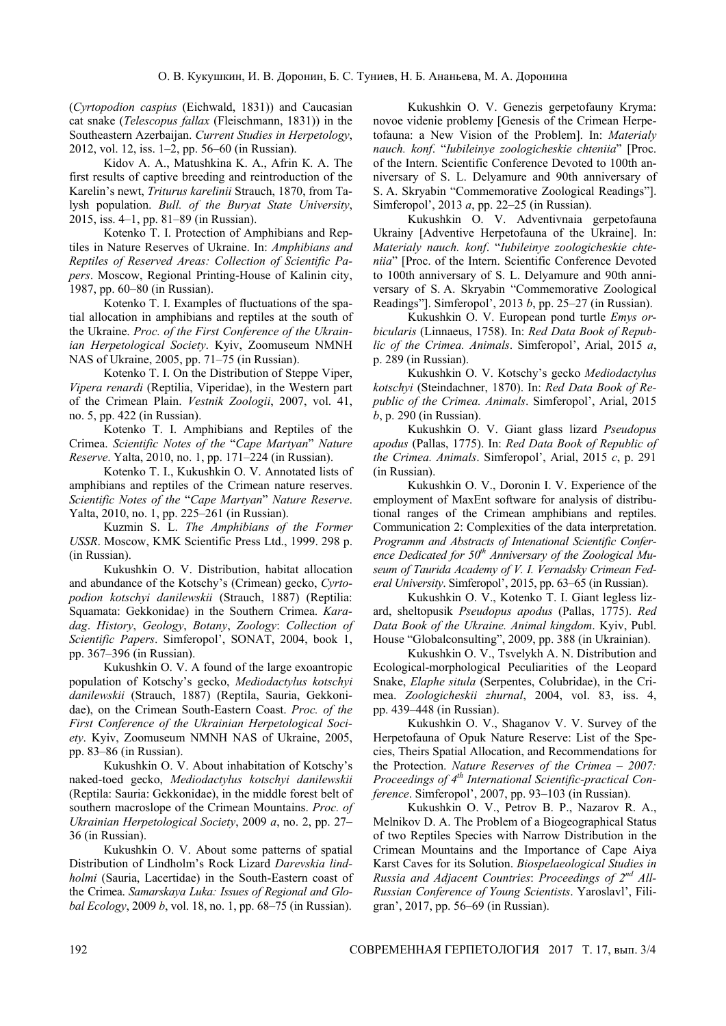(*Cyrtopodion caspius* (Eichwald, 1831)) and Caucasian cat snake (*Telescopus fallax* (Fleischmann, 1831)) in the Southeastern Azerbaijan. *Current Studies in Herpetology*, 2012, vol. 12, iss. 1–2, pp. 56–60 (in Russian).

Kidov A. A., Matushkina K. A., Afrin К. А. The first results of captive breeding and reintroduction of the Karelin's newt, *Triturus karelinii* Strauch, 1870, from Talysh population. *Bull. of the Buryat State University*, 2015, iss. 4–1, pp. 81–89 (in Russian).

Kotenko T. I. Protection of Amphibians and Reptiles in Nature Reserves of Ukraine. In: *Amphibians and Reptiles of Reserved Areas: Collection of Scientific Papers*. Moscow, Regional Printing-House of Kalinin city, 1987, pp. 60–80 (in Russian).

Kotenko T. I. Examples of fluctuations of the spatial allocation in amphibians and reptiles at the south of the Ukraine. *Proc. of the First Conference of the Ukrainian Herpetological Society*. Kyiv, Zoomuseum NMNH NAS of Ukraine, 2005, pp. 71–75 (in Russian).

Kotenko T. I. On the Distribution of Steppe Viper, *Vipera renardi* (Reptilia, Viperidae), in the Western part of the Crimean Plain. *Vestnik Zoologii*, 2007, vol. 41, no. 5, pp. 422 (in Russian).

Kotenko T. I. Amphibians and Reptiles of the Crimea. *Scientific Notes of the* "*Cape Martyan*" *Nature Reserve*. Yalta, 2010, no. 1, pp. 171–224 (in Russian).

Kotenko T. I., Kukushkin O. V. Annotated lists of amphibians and reptiles of the Crimean nature reserves. *Scientific Notes of the* "*Cape Martyan*" *Nature Reserve*. Yalta, 2010, no. 1, pp. 225–261 (in Russian).

Kuzmin S. L. *The Amphibians of the Former USSR*. Moscow, KMK Scientific Press Ltd., 1999. 298 p. (in Russian).

Kukushkin O. V. Distribution, habitat allocation and abundance of the Kotschy's (Crimean) gecko, *Cyrtopodion kotschyi danilewskii* (Strauch, 1887) (Reptilia: Squamata: Gekkonidae) in the Southern Crimea. *Karadag*. *History*, *Geology*, *Botany*, *Zoology*: *Collection of Scientific Papers*. Simferopol', SONAT, 2004, book 1, pp. 367–396 (in Russian).

Kukushkin O. V. A found of the large exoantropic population of Kotschy's gecko, *Mediodactylus kotschyi danilewskii* (Strauch, 1887) (Reptila, Sauria, Gekkonidae), on the Crimean South-Eastern Coast. *Proc. of the First Conference of the Ukrainian Herpetological Society*. Kyiv, Zoomuseum NMNH NAS of Ukraine, 2005, pp. 83–86 (in Russian).

Kukushkin O. V. About inhabitation of Kotschy's naked-toed gecko, *Mediodactylus kotschyi danilewskii* (Reptila: Sauria: Gekkonidae), in the middle forest belt of southern macroslope of the Crimean Mountains. *Proc. of Ukrainian Herpetological Society*, 2009 *a*, no. 2, pp. 27– 36 (in Russian).

Kukushkin O. V. About some patterns of spatial Distribution of Lindholm's Rock Lizard *Darevskia lindholmi* (Sauria, Lacertidae) in the South-Eastern coast of the Crimea. *Samarskaya Luka: Issues of Regional and Global Ecology*, 2009 *b*, vol. 18, no. 1, pp. 68–75 (in Russian).

Kukushkin O. V. Genezis gerpetofauny Kryma: novoe videnie problemy [Genesis of the Crimean Herpetofauna: a New Vision of the Problem]. In: *Materialy nauch. konf*. "*Iubileinye zoologicheskie chteniia*" [Proc. of the Intern. Scientific Conference Devoted to 100th anniversary of S. L. Delyamure and 90th anniversary of S. A. Skryabin "Commemorative Zoological Readings"]. Simferopol', 2013 *a*, pp. 22–25 (in Russian).

Kukushkin O. V. Adventivnaia gerpetofauna Ukrainy [Adventive Herpetofauna of the Ukraine]. In: *Materialy nauch. konf*. "*Iubileinye zoologicheskie chteniia*" [Proc. of the Intern. Scientific Conference Devoted to 100th anniversary of S. L. Delyamure and 90th anniversary of S. A. Skryabin "Commemorative Zoological Readings"]. Simferopol', 2013 *b*, pp. 25–27 (in Russian).

Kukushkin O. V. European pond turtle *Emys orbicularis* (Linnaeus, 1758). In: *Red Data Book of Republic of the Crimea. Animals*. Simferopol', Arial, 2015 *а*, p. 289 (in Russian).

Kukushkin O. V. Kotschy's gecko *Mediodactylus kotschyi* (Steindachner, 1870). In: *Red Data Book of Republic of the Crimea. Animals*. Simferopol', Arial, 2015 *b*, p. 290 (in Russian).

Kukushkin O. V. Giant glass lizard *Pseudopus apodus* (Pallas, 1775). In: *Red Data Book of Republic of the Crimea. Animals*. Simferopol', Arial, 2015 *c*, p. 291 (in Russian).

Kukushkin O. V., Doronin I. V. Experience of the employment of MaxEnt software for analysis of distributional ranges of the Crimean amphibians and reptiles. Communication 2: Complexities of the data interpretation. *Programm and Abstracts of Intenational Scientific Confer*ence Dedicated for 50<sup>th</sup> Anniversary of the Zoological Mu*seum of Taurida Academy of V. I. Vernadsky Crimean Federal University*. Simferopol', 2015, pp. 63–65 (in Russian).

Kukushkin О. V., Kotenko T. I. Giant legless lizard, sheltopusik *Pseudopus apodus* (Pallas, 1775). *Red Data Book of the Ukraine. Animal kingdom*. Kyiv, Publ. House "Globalconsulting", 2009, pp. 388 (in Ukrainian).

Kukushkin O. V., Tsvelykh A. N. Distribution and Ecological-morphological Peculiarities of the Leopard Snake, *Elaphe situla* (Serpentes, Colubridae), in the Crimea. *Zoologicheskii zhurnal*, 2004, vol. 83, iss. 4, pp. 439–448 (in Russian).

Kukushkin O. V., Shaganov V. V. Survey of the Herpetofauna of Opuk Nature Reserve: List of the Species, Theirs Spatial Allocation, and Recommendations for the Protection. *Nature Reserves of the Crimea – 2007: Proceedings of 4th International Scientific-practical Conference*. Simferopol', 2007, pp. 93–103 (in Russian).

Kukushkin О. V., Petrov B. P., Nazarov R. A., Melnikov D. A. The Problem of a Biogeographical Status of two Reptiles Species with Narrow Distribution in the Crimean Mountains and the Importance of Cape Aiya Karst Caves for its Solution. *Biospelaeological Studies in Russia and Adjacent Countries*: *Proceedings of 2nd All-Russian Conference of Young Scientists*. Yaroslavl', Filigran', 2017, pp. 56–69 (in Russian).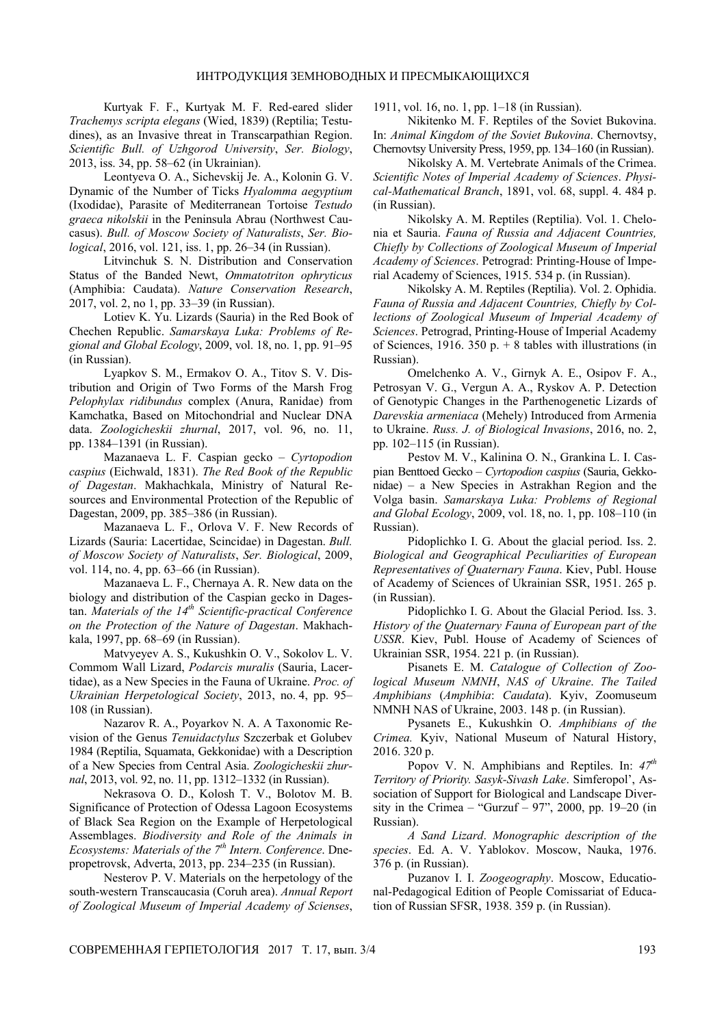Кurtyak F. F., Kurtyak M. F. Red-eared slider *Trachemys scripta elegans* (Wied, 1839) (Reptilia; Testudines), as an Invasive threat in Transcarpathian Region. *Scientific Bull. of Uzhgorod University*, *Ser. Biology*, 2013, iss. 34, pp. 58–62 (in Ukrainian).

Leontyeva O. A., Sichevskij Je. A., Kolonin G. V. Dynamic of the Number of Ticks *Hyalomma aegyptium* (Ixodidae), Parasite of Mediterranean Tortoise *Testudo graeca nikolskii* in the Peninsula Abrau (Northwest Caucasus). *Bull. of Moscow Society of Naturalists*, *Ser. Biological*, 2016, vol. 121, iss. 1, pp. 26–34 (in Russian).

Litvinchuk S. N. Distribution and Conservation Status of the Banded Newt, *Ommatotriton ophryticus* (Amphibia: Caudata). *Nature Conservation Research*, 2017, vol. 2, no 1, pp. 33–39 (in Russian).

Lotiev K. Yu. Lizards (Sauria) in the Red Book of Chechen Republic. *Samarskaya Luka: Problems of Regional and Global Ecology*, 2009, vol. 18, no. 1, pp. 91–95 (in Russian).

Lyapkov S. M., Ermakov O. A., Titov S. V. Distribution and Origin of Two Forms of the Marsh Frog *Pelophylax ridibundus* complex (Anura, Ranidae) from Kamchatka, Based on Mitochondrial and Nuclear DNA data. *Zoologicheskii zhurnal*, 2017, vol. 96, no. 11, pp. 1384–1391 (in Russian).

Mazanaeva L. F. Caspian gecko – *Cyrtopodion caspius* (Eichwald, 1831). *The Red Book of the Republic of Dagestan*. Makhachkala, Ministry of Natural Resources and Environmental Protection of the Republic of Dagestan, 2009, pp. 385–386 (in Russian).

Mazanaeva L. F., Orlova V. F. New Records of Lizards (Sauria: Lacertidae, Scincidae) in Dagestan. *Bull. of Moscow Society of Naturalists*, *Ser. Biological*, 2009, vol. 114, no. 4, pp. 63–66 (in Russian).

Mazanaeva L. F., Chernaya A. R. New data on the biology and distribution of the Caspian gecko in Dagestan. *Materials of the 14th Scientific-practical Conference on the Protection of the Nature of Dagestan*. Makhachkala, 1997, pp. 68–69 (in Russian).

Matvyeyev A. S., Kukushkin O. V., Sokolov L. V. Commom Wall Lizard, *Podarcis muralis* (Sauria, Lacertidae), as a New Species in the Fauna of Ukraine. *Proc. of Ukrainian Herpetological Society*, 2013, no. 4, pp. 95– 108 (in Russian).

Nazarov R. A., Poyarkov N. A. A Taxonomic Revision of the Genus *Tenuidactylus* Szczerbak et Golubev 1984 (Reptilia, Squamata, Gekkonidae) with a Description of a New Species from Central Asia. *Zoologicheskii zhurnal*, 2013, vol. 92, no. 11, pp. 1312–1332 (in Russian).

Nekrasova O. D., Kolosh T. V., Bolotov M. B. Significance of Protection of Odessa Lagoon Ecosystems of Black Sea Region on the Example of Herpetological Assemblages. *Biodiversity and Role of the Animals in Ecosystems: Materials of the 7th Intern. Conference*. Dnepropetrovsk, Adverta, 2013, pp. 234–235 (in Russian).

Nesterov P. V. Materials on the herpetology of the south-western Transcaucasia (Coruh area). *Annual Report of Zoological Museum of Imperial Academy of Scienses*,

1911, vol. 16, no. 1, pp. 1–18 (in Russian).

Nikitenko M. F. Reptiles of the Soviet Bukovina. In: *Animal Kingdom of the Soviet Bukovina*. Chernovtsy, Chernovtsy University Press, 1959, pp. 134–160 (in Russian).

Nikolsky A. M. Vertebrate Animals of the Crimea. *Scientific Notes of Imperial Academy of Sciences*. *Physical-Mathematical Branch*, 1891, vol. 68, suppl. 4. 484 p. (in Russian).

Nikolsky A. M. Reptiles (Reptilia). Vol. 1. Chelonia et Sauria. *Fauna of Russia and Adjacent Countries, Chiefly by Collections of Zoological Museum of Imperial Academy of Sciences*. Petrograd: Printing-House of Imperial Academy of Sciences, 1915. 534 p. (in Russian).

Nikolsky A. M. Reptiles (Reptilia). Vol. 2. Ophidia. *Fauna of Russia and Adjacent Countries, Chiefly by Collections of Zoological Museum of Imperial Academy of Sciences*. Petrograd, Printing-House of Imperial Academy of Sciences, 1916. 350 p.  $+8$  tables with illustrations (in Russian).

Omelchenko A. V., Girnyk А. Е., Osipov F. А., Petrosyan V. G., Vergun А. А., Ryskov А. P. Detection of Genotypic Changes in the Parthenogenetic Lizards of *Darevskia armeniaca* (Mehely) Introduced from Armenia to Ukraine. *Russ. J. of Biological Invasions*, 2016, no. 2, pp. 102–115 (in Russian).

Pestov M. V., Kalinina O. N., Grankina L. I. Caspian Benttoed Gecko – *Cyrtopodion caspius* (Sauria, Gekkonidae) – a New Species in Astrakhan Region and the Volga basin. *Samarskaya Luka: Problems of Regional and Global Ecology*, 2009, vol. 18, no. 1, pp. 108–110 (in Russian).

Pidoplichko I. G. About the glacial period. Iss. 2. *Biological and Geographical Peculiarities of European Representatives of Quaternary Fauna*. Kiev, Publ. House of Academy of Sciences of Ukrainian SSR, 1951. 265 p. (in Russian).

Pidoplichko I. G. About the Glacial Period. Iss. 3. *History of the Quaternary Fauna of European part of the USSR*. Kiev, Publ. House of Academy of Sciences of Ukrainian SSR, 1954. 221 p. (in Russian).

Pisanets E. M. *Catalogue of Collection of Zoological Museum NMNH*, *NAS of Ukraine*. *The Tailed Amphibians* (*Amphibia*: *Caudata*). Kyiv, Zoomuseum NMNH NAS of Ukraine, 2003. 148 p. (in Russian).

Pysanets E., Kukushkin O. *Amphibians of the Crimea.* Kyiv, National Museum of Natural History, 2016. 320 p.

Popov V. N. Amphibians and Reptiles. In: *47th Territory of Priority. Sasyk-Sivash Lake*. Simferopol', Association of Support for Biological and Landscape Diversity in the Crimea – "Gurzuf –  $97$ ", 2000, pp. 19–20 (in Russian).

*A Sand Lizard*. *Monographic description of the species*. Ed. A. V. Yablokov. Moscow, Nauka, 1976. 376 p. (in Russian).

Puzanov I. I. *Zoogeography*. Moscow, Educational-Pedagogical Edition of People Comissariat of Education of Russian SFSR, 1938. 359 p. (in Russian).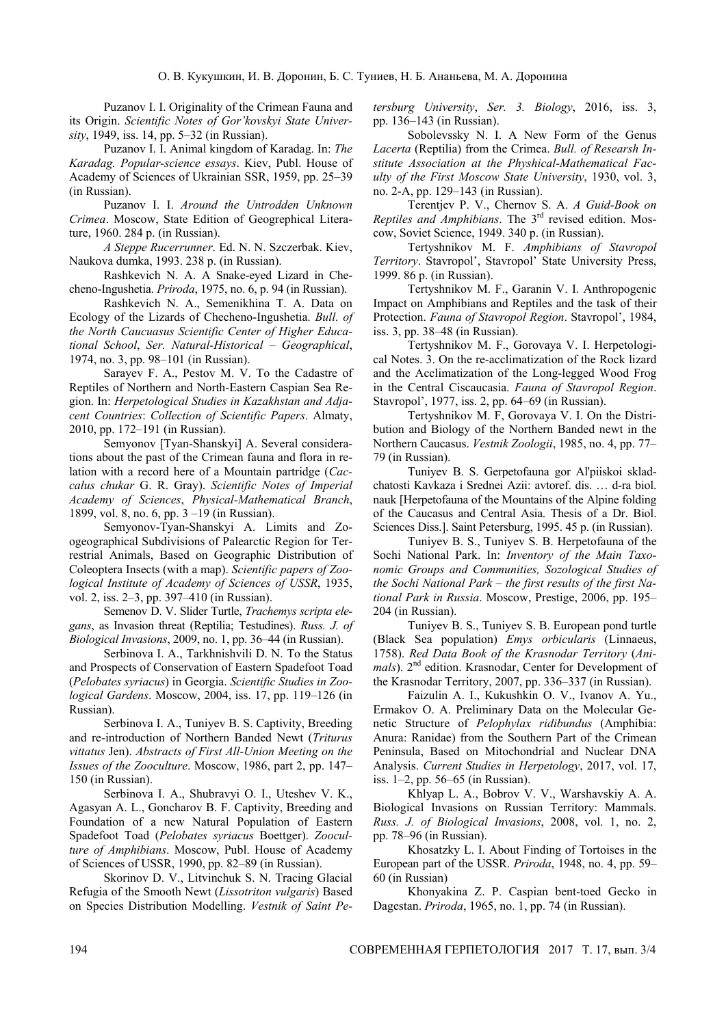Puzanov I. I. Originality of the Crimean Fauna and its Origin. *Scientific Notes of Gor'kovskyi State University*, 1949, iss. 14, pp. 5–32 (in Russian).

Puzanov I. I. Animal kingdom of Karadag. In: *The Karadag. Popular-science essays*. Kiev, Publ. House of Academy of Sciences of Ukrainian SSR, 1959, pp. 25–39 (in Russian).

Puzanov I. I. *Around the Untrodden Unknown Crimea*. Moscow, State Edition of Geogrephical Literature, 1960. 284 p. (in Russian).

*A Steppe Rucerrunner*. Ed. N. N. Szczerbak. Kiev, Naukova dumka, 1993. 238 p. (in Russian).

Rashkevich N. A. A Snake-eyed Lizard in Checheno-Ingushetia. *Priroda*, 1975, no. 6, p. 94 (in Russian).

Rashkevich N. A., Semenikhina T. A. Data on Ecology of the Lizards of Checheno-Ingushetia. *Bull. of the North Caucuasus Scientific Center of Higher Educational School*, *Ser. Natural-Historical* – *Geographical*, 1974, no. 3, pp. 98–101 (in Russian).

Sarayev F. A., Pestov M. V. To the Cadastre of Reptiles of Northern and North-Eastern Caspian Sea Region. In: *Herpetological Studies in Kazakhstan and Adjacent Countries*: *Collection of Scientific Papers*. Almaty, 2010, pp. 172–191 (in Russian).

Semyonov [Tyan-Shanskyi] A. Several considerations about the past of the Crimean fauna and flora in relation with a record here of a Mountain partridge (*Caccalus chukar* G. R. Gray). *Scientific Notes of Imperial Academy of Sciences*, *Physical-Mathematical Branch*, 1899, vol. 8, no. 6, pp. 3 –19 (in Russian).

Semyonov-Tyan-Shanskyi A. Limits and Zoogeographical Subdivisions of Palearctic Region for Terrestrial Animals, Based on Geographic Distribution of Coleoptera Insects (with a map). *Scientific papers of Zoological Institute of Academy of Sciences of USSR*, 1935, vol. 2, iss. 2–3, pp. 397–410 (in Russian).

Semenov D. V. Slider Turtle, *Trachemys scripta elegans*, as Invasion threat (Reptilia; Testudines). *Russ. J. of Biological Invasions*, 2009, no. 1, pp. 36–44 (in Russian).

Serbinova I. A., Tarkhnishvili D. N. To the Status and Prospects of Conservation of Eastern Spadefoot Toad (*Pelobates syriacus*) in Georgia. *Scientific Studies in Zoological Gardens*. Moscow, 2004, iss. 17, pp. 119–126 (in Russian).

Serbinova I. A., Tuniyev B. S. Captivity, Breeding and re-introduction of Northern Banded Newt (*Triturus vittatus* Jen). *Abstracts of First All-Union Meeting on the Issues of the Zooculture*. Moscow, 1986, part 2, pp. 147– 150 (in Russian).

Serbinova I. A., Shubravyi O. I., Uteshev V. K., Agasyan A. L., Goncharov B. F. Captivity, Breeding and Foundation of a new Natural Population of Eastern Spadefoot Toad (*Pelobates syriacus* Boettger). *Zooculture of Amphibians*. Moscow, Publ. House of Academy of Sciences of USSR, 1990, pp. 82–89 (in Russian).

Skorinov D. V., Litvinchuk S. N. Tracing Glacial Refugia of the Smooth Newt (*Lissotriton vulgaris*) Based on Species Distribution Modelling. *Vestnik of Saint Pe-* *tersburg University*, *Ser. 3. Biology*, 2016, iss. 3, pp. 136–143 (in Russian).

Sobolevssky N. I. A New Form of the Genus *Lacerta* (Reptilia) from the Crimea. *Bull. of Researsh Institute Association at the Physhical-Mathematical Faculty of the First Moscow State University*, 1930, vol. 3, no. 2-A, pp. 129–143 (in Russian).

Terentjev P. V., Chernov S. A. *A Guid-Book on Reptiles and Amphibians*. The 3<sup>rd</sup> revised edition. Moscow, Soviet Science, 1949. 340 p. (in Russian).

Tertyshnikov M. F. *Amphibians of Stavropol Territory*. Stavropol', Stavropol' State University Press, 1999. 86 p. (in Russian).

Tertyshnikov M. F., Garanin V. I. Anthropogenic Impact on Amphibians and Reptiles and the task of their Protection. *Fauna of Stavropol Region*. Stavropol', 1984, iss. 3, pp. 38–48 (in Russian).

Tertyshnikov M. F., Gorovaya V. I. Herpetological Notes. 3. On the re-acclimatization of the Rock lizard and the Acclimatization of the Long-legged Wood Frog in the Central Ciscaucasia. *Fauna of Stavropol Region*. Stavropol', 1977, iss. 2, pp. 64–69 (in Russian).

Tertyshnikov M. F, Gorovaya V. I. On the Distribution and Biology of the Northern Banded newt in the Northern Caucasus. *Vestnik Zoologii*, 1985, no. 4, pp. 77– 79 (in Russian).

Tuniyev B. S. Gerpetofauna gor Al'piiskoi skladchatosti Kavkaza i Srednei Azii: avtoref. dis. … d-ra biol. nauk [Herpetofauna of the Mountains of the Alpine folding of the Caucasus and Central Asia. Thesis of a Dr. Biol. Sciences Diss.]. Saint Petersburg, 1995. 45 p. (in Russian).

Tuniyev B. S., Tuniyev S. B. Herpetofauna of the Sochi National Park. In: *Inventory of the Main Taxonomic Groups and Communities, Sozological Studies of the Sochi National Park – the first results of the first National Park in Russia*. Moscow, Prestige, 2006, pp. 195– 204 (in Russian).

Tuniyev B. S., Tuniyev S. B. European pond turtle (Black Sea population) *Emys orbicularis* (Linnaeus, 1758). *Red Data Book of the Krasnodar Territory* (*Animals*). 2<sup>nd</sup> edition. Krasnodar, Center for Development of the Krasnodar Territory, 2007, pp. 336–337 (in Russian).

Faizulin A. I., Kukushkin O. V., Ivanov A. Yu., Ermakov O. A. Preliminary Data on the Molecular Genetic Structure of *Pelophylax ridibundus* (Amphibia: Anura: Ranidae) from the Southern Part of the Crimean Peninsula, Based on Mitochondrial and Nuclear DNA Analysis. *Current Studies in Herpetology*, 2017, vol. 17, iss. 1–2, pp. 56–65 (in Russian).

Khlyap L. A., Bobrov V. V., Warshavskiy A. A. Biological Invasions on Russian Territory: Mammals. *Russ. J. of Biological Invasions*, 2008, vol. 1, no. 2, pp. 78–96 (in Russian).

Khosatzky L. I. About Finding of Tortoises in the European part of the USSR. *Priroda*, 1948, no. 4, pp. 59– 60 (in Russian)

Khonyakina Z. P. Caspian bent-toed Gecko in Dagestan. *Priroda*, 1965, no. 1, pp. 74 (in Russian).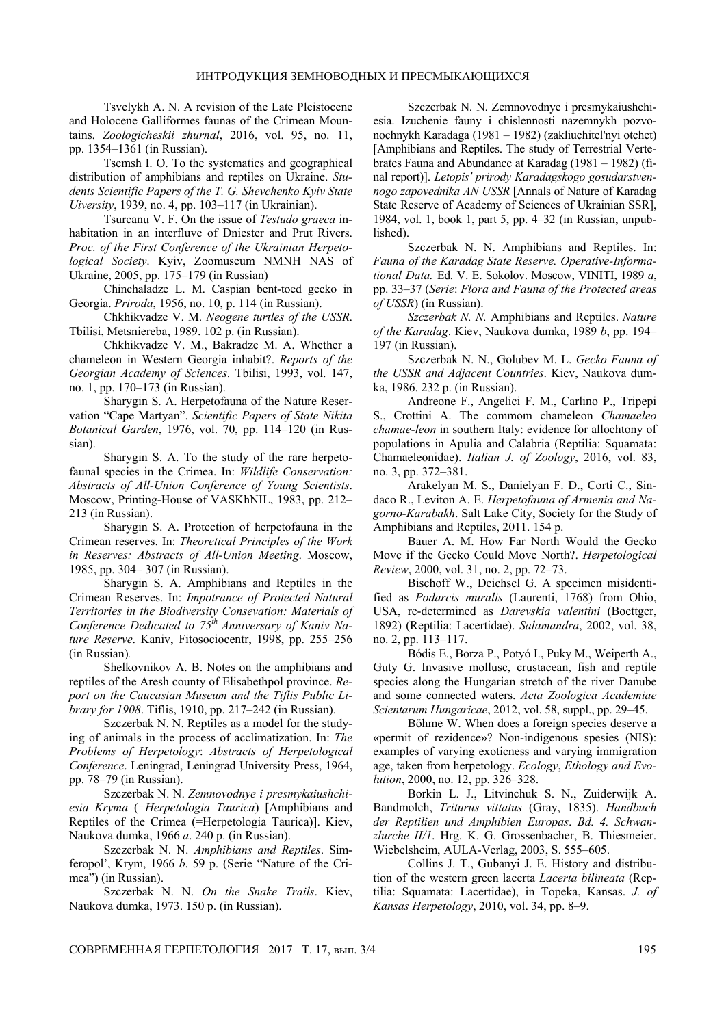Tsvelykh A. N. A revision of the Late Pleistocene and Holocene Galliformes faunas of the Crimean Mountains. *Zoologicheskii zhurnal*, 2016, vol. 95, no. 11, pp. 1354–1361 (in Russian).

Tsemsh I. O. To the systematics and geographical distribution of amphibians and reptiles on Ukraine. *Students Scientific Papers of the T. G. Shevchenko Kyiv State Uiversity*, 1939, no. 4, pp. 103–117 (in Ukrainian).

Tsurcanu V. F. On the issue of *Testudo graeca* inhabitation in an interfluve of Dniester and Prut Rivers. *Proc. of the First Conference of the Ukrainian Herpetological Society*. Kyiv, Zoomuseum NMNH NAS of Ukraine, 2005, pp. 175–179 (in Russian)

Chinchaladze L. M. Caspian bent-toed gecko in Georgia. *Priroda*, 1956, no. 10, p. 114 (in Russian).

Chkhikvadze V. M. *Neogene turtles of the USSR*. Tbilisi, Metsniereba, 1989. 102 p. (in Russian).

Chkhikvadze V. M., Bakradze М. А. Whether a chameleon in Western Georgia inhabit?. *Reports of the Georgian Academy of Sciences*. Tbilisi, 1993, vol. 147, no. 1, pp. 170–173 (in Russian).

Sharygin S. A. Herpetofauna of the Nature Reservation "Cape Martyan". *Scientific Papers of State Nikita Botanical Garden*, 1976, vol. 70, pp. 114–120 (in Russian).

Sharygin S. A. To the study of the rare herpetofaunal species in the Crimea. In: *Wildlife Conservation: Abstracts of All-Union Conference of Young Scientists*. Moscow, Printing-House of VASKhNIL, 1983, pp. 212– 213 (in Russian).

Sharygin S. A. Protection of herpetofauna in the Crimean reserves. In: *Theoretical Principles of the Work in Reserves: Abstracts of All-Union Meeting*. Moscow, 1985, pp. 304– 307 (in Russian).

Sharygin S. A. Amphibians and Reptiles in the Crimean Reserves. In: *Impotrance of Protected Natural Territories in the Biodiversity Consevation: Materials of Conference Dedicated to 75th Anniversary of Kaniv Nature Reserve*. Kaniv, Fitosociocentr, 1998, pp. 255–256 (in Russian)*.*

Shelkovnikov A. B. Notes on the amphibians and reptiles of the Aresh county of Elisabethpol province. *Report on the Caucasian Museum and the Tiflis Public Library for 1908*. Tiflis, 1910, pp. 217–242 (in Russian).

Szczerbak N. N. Reptiles as a model for the studying of animals in the process of acclimatization. In: *The Problems of Herpetology*: *Abstracts of Herpetological Conference*. Leningrad, Leningrad University Press, 1964, pp. 78–79 (in Russian).

Szczerbak N. N. *Zemnovodnye i presmykaiushchiesia Kryma* (=*Herpetologia Taurica*) [Amphibians and Reptiles of the Crimea (=Herpetologia Taurica)]. Kiev, Naukova dumka, 1966 *a*. 240 p. (in Russian).

Szczerbak N. N. *Amphibians and Reptiles*. Simferopol', Krym, 1966 *b*. 59 p. (Serie "Nature of the Crimea") (in Russian).

Szczerbak N. N. *On the Snake Trails*. Kiev, Naukova dumka, 1973. 150 p. (in Russian).

Szczerbak N. N. Zemnovodnye i presmykaiushchiesia. Izuchenie fauny i chislennosti nazemnykh pozvonochnykh Karadaga (1981 – 1982) (zakliuchitel'nyi otchet) [Amphibians and Reptiles. The study of Terrestrial Vertebrates Fauna and Abundance at Karadag (1981 – 1982) (final report)]. *Letopis' prirody Karadagskogo gosudarstvennogo zapovednika AN USSR* [Annals of Nature of Karadag State Reserve of Academy of Sciences of Ukrainian SSR], 1984, vol. 1, book 1, part 5, pp. 4–32 (in Russian, unpublished).

Szczerbak N. N. Amphibians and Reptiles. In: *Fauna of the Karadag State Reserve. Operative-Informational Data.* Ed. V. E. Sokolov. Мoscow, VINITI, 1989 *а*, pp. 33–37 (*Serie*: *Flora and Fauna of the Protected areas of USSR*) (in Russian).

*Szczerbak N. N.* Amphibians and Reptiles. *Nature of the Karadag*. Kiev, Naukova dumka, 1989 *b*, pp. 194– 197 (in Russian).

Szczerbak N. N., Golubev M. L. *Gecko Fauna of the USSR and Adjacent Countries*. Kiev, Naukova dumka, 1986. 232 p. (in Russian).

Andreone F., Angelici F. M., Carlino P., Tripepi S., Crottini A. The commom chameleon *Chamaeleo chamae-leon* in southern Italy: evidence for allochtony of populations in Apulia and Calabria (Reptilia: Squamata: Chamaeleonidae). *Italian J. of Zoology*, 2016, vol. 83, no. 3, pp. 372–381.

Arakelyan M. S., Danielyan F. D., Corti C., Sindaco R., Leviton A. E. *Herpetofauna of Armenia and Nagorno-Karabakh*. Salt Lake City, Society for the Study of Amphibians and Reptiles, 2011. 154 p.

Bauer A. M. How Far North Would the Gecko Move if the Gecko Could Move North?. *Herpetological Review*, 2000, vol. 31, no. 2, pp. 72–73.

Bischoff W., Deichsel G. A specimen misidentified as *Podarcis muralis* (Laurenti, 1768) from Ohio, USA, re-determined as *Darevskia valentini* (Boettger, 1892) (Reptilia: Lacertidae). *Salamandra*, 2002, vol. 38, no. 2, pp. 113–117.

Bódis E., Borza P., Potyó I., Puky M., Weiperth A., Guty G. Invasive mollusc, crustacean, fish and reptile species along the Hungarian stretch of the river Danube and some connected waters. *Acta Zoologica Academiae Scientarum Hungaricae*, 2012, vol. 58, suppl., pp. 29–45.

Böhme W. When does a foreign species deserve a «permit of rezidence»? Non-indigenous spesies (NIS): examples of varying exoticness and varying immigration age, taken from herpetology. *Ecology*, *Ethology and Evolution*, 2000, no. 12, pp. 326–328.

Borkin L. J., Litvinchuk S. N., Zuiderwijk A. Bandmolch, *Triturus vittatus* (Gray, 1835). *Handbuch der Reptilien und Amphibien Europas*. *Bd. 4. Schwanzlurche II/1*. Hrg. K. G. Grossenbacher, B. Thiesmeier. Wiebelsheim, AULA-Verlag, 2003, S. 555–605.

Collins J. T., Gubanyi J. E. History and distribution of the western green lacerta *Lacerta bilineata* (Reptilia: Squamata: Lacertidae), in Topeka, Kansas. *J. of Kansas Herpetology*, 2010, vol. 34, pp. 8–9.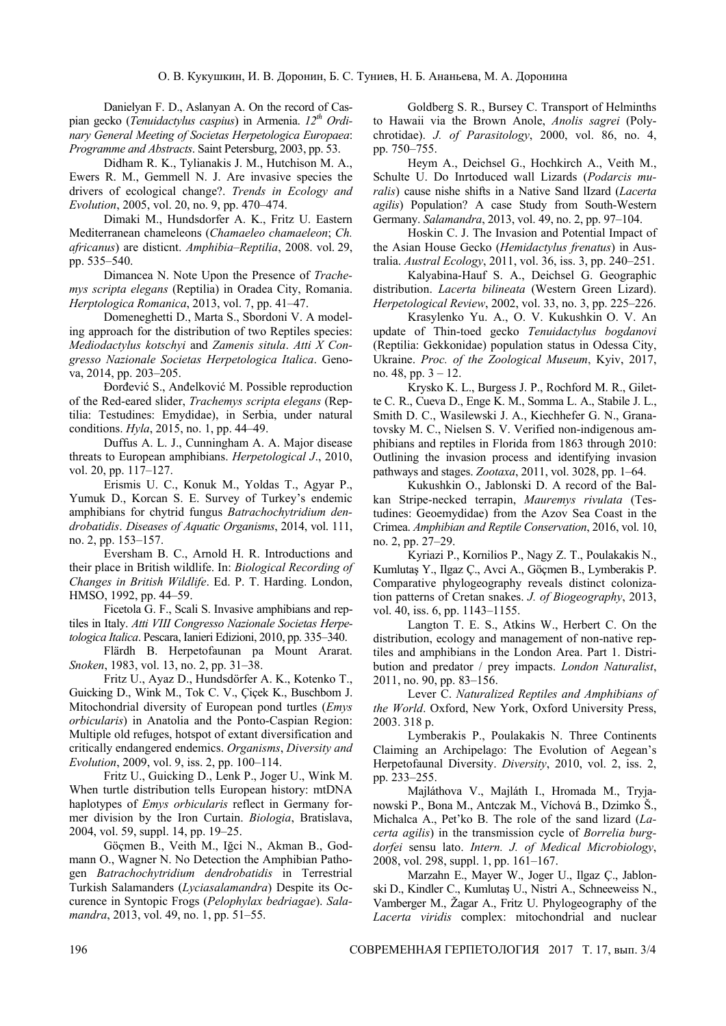Danielyan F. D., Aslanyan A. On the record of Caspian gecko (*Tenuidactylus caspius*) in Armenia.  $12^{th}$  Ordi*nary General Meeting of Societas Herpetologica Europaea*: *Programme and Abstracts*. Saint Petersburg, 2003, pp. 53.

Didham R. K., Tylianakis J. M., Hutchison M. A., Ewers R. M., Gemmell N. J. Are invasive species the drivers of ecological change?. *Trends in Ecology and Evolution*, 2005, vol. 20, no. 9, pp. 470–474.

Dimaki M., Hundsdorfer A. K., Fritz U. Eastern Mediterranean chameleons (*Chamaeleo chamaeleon*; *Ch. africanus*) are disticnt. *Amphibia*–*Reptilia*, 2008. vol. 29, pp. 535–540.

Dimancea N. Note Upon the Presence of *Trachemys scripta elegans* (Reptilia) in Oradea City, Romania. *Herptologica Romanica*, 2013, vol. 7, pp. 41–47.

Domeneghetti D., Marta S., Sbordoni V. A modeling approach for the distribution of two Reptiles species: *Mediodactylus kotschyi* and *Zamenis situla*. *Atti X Congresso Nazionale Societas Herpetologica Italica*. Genova, 2014, pp. 203–205.

Ðorđević S., Anđelković M. Possible reproduction of the Red-eared slider, *Trachemys scripta elegans* (Reptilia: Testudines: Emydidae), in Serbia, under natural conditions. *Hyla*, 2015, no. 1, pp. 44–49.

Duffus A. L. J., Cunningham A. A. Major disease threats to European amphibians. *Herpetological J*., 2010, vol. 20, pp. 117–127.

Erismis U. C., Konuk M., Yoldas T., Agyar P., Yumuk D., Korcan S. E. Survey of Turkey's endemic amphibians for chytrid fungus *Batrachochytridium dendrobatidis*. *Diseases of Aquatic Organisms*, 2014, vol. 111, no. 2, pp. 153–157.

Eversham B. C., Arnold H. R. Introductions and their place in British wildlife. In: *Biological Recording of Changes in British Wildlife*. Ed. P. T. Harding. London, HMSO, 1992, pp. 44–59.

Ficetola G. F., Scali S. Invasive amphibians and reptiles in Italy. *Atti VIII Congresso Nazionale Societas Herpetologica Italica*. Pescara, Ianieri Edizioni, 2010, pp. 335–340.

Flärdh B. Herpetofaunan pa Mount Ararat. *Snoken*, 1983, vol. 13, no. 2, pp. 31–38.

Fritz U., Ayaz D., Hundsdörfer A. K., Kotenko T., Guicking D., Wink M., Tok C. V., Çiçek K., Buschbom J. Mitochondrial diversity of European pond turtles (*Emys orbicularis*) in Anatolia and the Ponto-Caspian Region: Multiple old refuges, hotspot of extant diversification and critically endangered endemics. *Organisms*, *Diversity and Evolution*, 2009, vol. 9, iss. 2, pp. 100–114.

Fritz U., Guicking D., Lenk P., Joger U., Wink M. When turtle distribution tells European history: mtDNA haplotypes of *Emys orbicularis* reflect in Germany former division by the Iron Curtain. *Biologia*, Bratislava, 2004, vol. 59, suppl. 14, pp. 19–25.

Göçmen B., Veith M., Iğci N., Akman B., Godmann O., Wagner N. No Detection the Amphibian Pathogen *Batrachochytridium dendrobatidis* in Terrestrial Turkish Salamanders (*Lyciasalamandra*) Despite its Occurence in Syntopic Frogs (*Pelophylax bedriagae*). *Salamandra*, 2013, vol. 49, no. 1, pp. 51–55.

Goldberg S. R., Bursey C. Transport of Helminths to Hawaii via the Brown Anole, *Anolis sagrei* (Polychrotidae). *J. of Parasitology*, 2000, vol. 86, no. 4, pp. 750–755.

Heym A., Deichsel G., Hochkirch A., Veith M., Schulte U. Do Inrtoduced wall Lizards (*Podarcis muralis*) cause nishe shifts in a Native Sand lIzard (*Lacerta agilis*) Population? A case Study from South-Western Germany. *Salamandra*, 2013, vol. 49, no. 2, pp. 97–104.

Hoskin C. J. The Invasion and Potential Impact of the Asian House Gecko (*Hemidactylus frenatus*) in Australia. *Austral Ecology*, 2011, vol. 36, iss. 3, pp. 240–251.

Kalyabina-Hauf S. A., Deichsel G. Geographic distribution. *Lacerta bilineata* (Western Green Lizard). *Herpetological Review*, 2002, vol. 33, no. 3, pp. 225–226.

Krasylenko Yu. A., O. V. Kukushkin O. V. An update of Thin-toed gecko *Tenuidactylus bogdanovi* (Reptilia: Gekkonidae) population status in Odessa City, Ukraine. *Proc. of the Zoological Museum*, Kyiv, 2017, no. 48, pp. 3 – 12.

Krysko K. L., Burgess J. P., Rochford M. R., Gilette C. R., Cueva D., Enge K. M., Somma L. A., Stabile J. L., Smith D. C., Wasilewski J. A., Kiechhefer G. N., Granatovsky M. C., Nielsen S. V. Verified non-indigenous amphibians and reptiles in Florida from 1863 through 2010: Outlining the invasion process and identifying invasion pathways and stages. *Zootaxa*, 2011, vol. 3028, pp. 1–64.

Kukushkin O., Jablonski D. A record of the Balkan Stripe-necked terrapin, *Mauremys rivulata* (Testudines: Geoemydidae) from the Azov Sea Coast in the Crimea. *Amphibian and Reptile Conservation*, 2016, vol. 10, no. 2, pp. 27–29.

Kyriazi P., Kornilios P., Nagy Z. T., Poulakakis N., Kumlutaş Y., Ilgaz Ç., Avci A., Göçmen B., Lymberakis P. Comparative phylogeography reveals distinct colonization patterns of Cretan snakes. *J. of Biogeography*, 2013, vol. 40, iss. 6, pp. 1143–1155.

Langton T. E. S., Atkins W., Herbert C. On the distribution, ecology and management of non-native reptiles and amphibians in the London Area. Part 1. Distribution and predator / prey impacts. *London Naturalist*, 2011, no. 90, pp. 83–156.

Lever C. *Naturalized Reptiles and Amphibians of the World*. Oxford, New York, Oxford University Press, 2003. 318 p.

Lymberakis P., Poulakakis N. Three Continents Claiming an Archipelago: The Evolution of Aegean's Herpetofaunal Diversity. *Diversity*, 2010, vol. 2, iss. 2, pp. 233–255.

Majláthova V., Majláth I., Hromada M., Tryjanowski P., Bona M., Antczak M., Víchová B., Dzimko Š., Michalca A., Pet'ko B. The role of the sand lizard (*Lacerta agilis*) in the transmission cycle of *Borrelia burgdorfei* sensu lato. *Intern. J. of Medical Microbiology*, 2008, vol. 298, suppl. 1, pp. 161–167.

Marzahn E., Mayer W., Joger U., Ilgaz Ç., Jablonski D., Kindler C., Kumlutaş U., Nistri A., Schneeweiss N., Vamberger M., Žagar A., Fritz U. Phylogeography of the *Lacerta viridis* complex: mitochondrial and nuclear